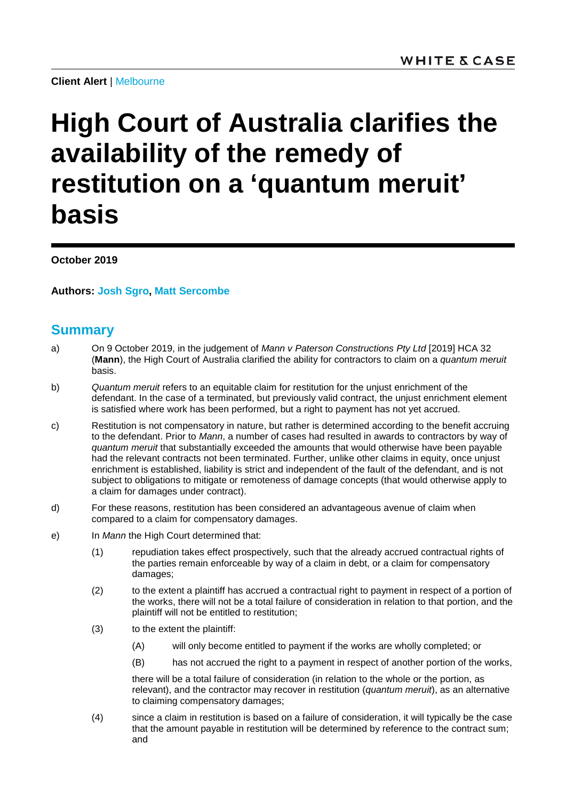**Client Alert** | Melbourne

# **High Court of Australia clarifies the availability of the remedy of restitution on a 'quantum meruit' basis**

**October 2019**

**Authors: [Josh Sgro,](https://www.whitecase.com/people/josh-sgro) [Matt Sercombe](https://www.whitecase.com/people/matt-sercombe)**

# **Summary**

- a) On 9 October 2019, in the judgement of *Mann v Paterson Constructions Pty Ltd* [2019] HCA 32 (**Mann**), the High Court of Australia clarified the ability for contractors to claim on a *quantum meruit* basis.
- b) *Quantum meruit* refers to an equitable claim for restitution for the unjust enrichment of the defendant. In the case of a terminated, but previously valid contract, the unjust enrichment element is satisfied where work has been performed, but a right to payment has not yet accrued.
- c) Restitution is not compensatory in nature, but rather is determined according to the benefit accruing to the defendant. Prior to *Mann*, a number of cases had resulted in awards to contractors by way of *quantum meruit* that substantially exceeded the amounts that would otherwise have been payable had the relevant contracts not been terminated. Further, unlike other claims in equity, once unjust enrichment is established, liability is strict and independent of the fault of the defendant, and is not subject to obligations to mitigate or remoteness of damage concepts (that would otherwise apply to a claim for damages under contract).
- d) For these reasons, restitution has been considered an advantageous avenue of claim when compared to a claim for compensatory damages.
- e) In *Mann* the High Court determined that:
	- (1) repudiation takes effect prospectively, such that the already accrued contractual rights of the parties remain enforceable by way of a claim in debt, or a claim for compensatory damages;
	- (2) to the extent a plaintiff has accrued a contractual right to payment in respect of a portion of the works, there will not be a total failure of consideration in relation to that portion, and the plaintiff will not be entitled to restitution;
	- (3) to the extent the plaintiff:
		- (A) will only become entitled to payment if the works are wholly completed; or
		- (B) has not accrued the right to a payment in respect of another portion of the works,

there will be a total failure of consideration (in relation to the whole or the portion, as relevant), and the contractor may recover in restitution (*quantum meruit*), as an alternative to claiming compensatory damages;

(4) since a claim in restitution is based on a failure of consideration, it will typically be the case that the amount payable in restitution will be determined by reference to the contract sum; and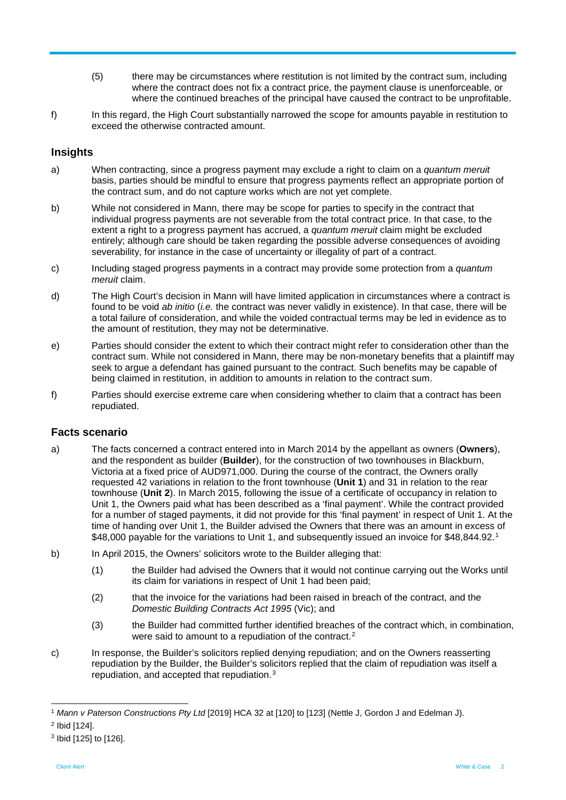- (5) there may be circumstances where restitution is not limited by the contract sum, including where the contract does not fix a contract price, the payment clause is unenforceable, or where the continued breaches of the principal have caused the contract to be unprofitable.
- f) In this regard, the High Court substantially narrowed the scope for amounts payable in restitution to exceed the otherwise contracted amount.

# **Insights**

- a) When contracting, since a progress payment may exclude a right to claim on a *quantum meruit* basis, parties should be mindful to ensure that progress payments reflect an appropriate portion of the contract sum, and do not capture works which are not yet complete.
- b) While not considered in Mann, there may be scope for parties to specify in the contract that individual progress payments are not severable from the total contract price. In that case, to the extent a right to a progress payment has accrued, a *quantum meruit* claim might be excluded entirely; although care should be taken regarding the possible adverse consequences of avoiding severability, for instance in the case of uncertainty or illegality of part of a contract.
- c) Including staged progress payments in a contract may provide some protection from a *quantum meruit* claim.
- d) The High Court's decision in Mann will have limited application in circumstances where a contract is found to be void *ab initio* (*i.e.* the contract was never validly in existence). In that case, there will be a total failure of consideration, and while the voided contractual terms may be led in evidence as to the amount of restitution, they may not be determinative.
- e) Parties should consider the extent to which their contract might refer to consideration other than the contract sum. While not considered in Mann, there may be non-monetary benefits that a plaintiff may seek to argue a defendant has gained pursuant to the contract. Such benefits may be capable of being claimed in restitution, in addition to amounts in relation to the contract sum.
- f) Parties should exercise extreme care when considering whether to claim that a contract has been repudiated.

### **Facts scenario**

- a) The facts concerned a contract entered into in March 2014 by the appellant as owners (**Owners**), and the respondent as builder (**Builder**), for the construction of two townhouses in Blackburn, Victoria at a fixed price of AUD971,000. During the course of the contract, the Owners orally requested 42 variations in relation to the front townhouse (**Unit 1**) and 31 in relation to the rear townhouse (**Unit 2**). In March 2015, following the issue of a certificate of occupancy in relation to Unit 1, the Owners paid what has been described as a 'final payment'. While the contract provided for a number of staged payments, it did not provide for this 'final payment' in respect of Unit 1. At the time of handing over Unit 1, the Builder advised the Owners that there was an amount in excess of \$48,000 payable for the variations to Unit [1](#page-1-0), and subsequently issued an invoice for \$48,844.92.<sup>1</sup>
- b) In April 2015, the Owners' solicitors wrote to the Builder alleging that:
	- (1) the Builder had advised the Owners that it would not continue carrying out the Works until its claim for variations in respect of Unit 1 had been paid;
	- (2) that the invoice for the variations had been raised in breach of the contract, and the *Domestic Building Contracts Act 1995* (Vic); and
	- (3) the Builder had committed further identified breaches of the contract which, in combination, were said to amount to a repudiation of the contract.<sup>[2](#page-1-1)</sup>
- c) In response, the Builder's solicitors replied denying repudiation; and on the Owners reasserting repudiation by the Builder, the Builder's solicitors replied that the claim of repudiation was itself a repudiation, and accepted that repudiation.[3](#page-1-2)

<span id="page-1-0"></span> <sup>1</sup> *Mann v Paterson Constructions Pty Ltd* [2019] HCA 32 at [120] to [123] (Nettle J, Gordon J and Edelman J).

<span id="page-1-1"></span><sup>2</sup> Ibid [124].

<span id="page-1-2"></span><sup>3</sup> Ibid [125] to [126].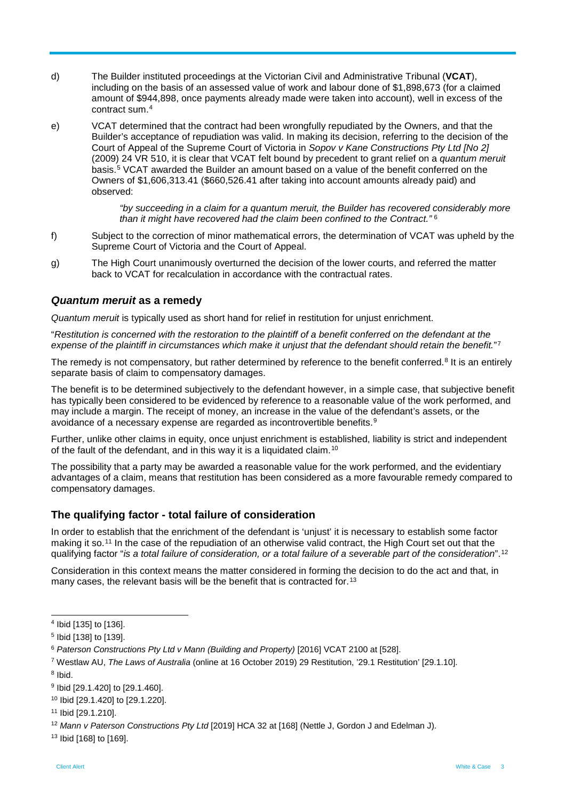- d) The Builder instituted proceedings at the Victorian Civil and Administrative Tribunal (**VCAT**), including on the basis of an assessed value of work and labour done of \$1,898,673 (for a claimed amount of \$944,898, once payments already made were taken into account), well in excess of the contract sum.[4](#page-2-0)
- e) VCAT determined that the contract had been wrongfully repudiated by the Owners, and that the Builder's acceptance of repudiation was valid. In making its decision, referring to the decision of the Court of Appeal of the Supreme Court of Victoria in *Sopov v Kane Constructions Pty Ltd [No 2]* (2009) 24 VR 510, it is clear that VCAT felt bound by precedent to grant relief on a *quantum meruit* basis.[5](#page-2-1) VCAT awarded the Builder an amount based on a value of the benefit conferred on the Owners of \$1,606,313.41 (\$660,526.41 after taking into account amounts already paid) and observed:

*"by succeeding in a claim for a quantum meruit, the Builder has recovered considerably more than it might have recovered had the claim been confined to the Contract."* [6](#page-2-2)

- f) Subject to the correction of minor mathematical errors, the determination of VCAT was upheld by the Supreme Court of Victoria and the Court of Appeal.
- g) The High Court unanimously overturned the decision of the lower courts, and referred the matter back to VCAT for recalculation in accordance with the contractual rates.

## *Quantum meruit* **as a remedy**

*Quantum meruit* is typically used as short hand for relief in restitution for unjust enrichment.

"*Restitution is concerned with the restoration to the plaintiff of a benefit conferred on the defendant at the expense of the plaintiff in circumstances which make it unjust that the defendant should retain the benefit.*"[7](#page-2-3)

The remedy is not compensatory, but rather determined by reference to the benefit conferred.<sup>[8](#page-2-4)</sup> It is an entirely separate basis of claim to compensatory damages.

The benefit is to be determined subjectively to the defendant however, in a simple case, that subjective benefit has typically been considered to be evidenced by reference to a reasonable value of the work performed, and may include a margin. The receipt of money, an increase in the value of the defendant's assets, or the avoidance of a necessary expense are regarded as incontrovertible benefits.[9](#page-2-5)

Further, unlike other claims in equity, once unjust enrichment is established, liability is strict and independent of the fault of the defendant, and in this way it is a liquidated claim.<sup>[10](#page-2-6)</sup>

The possibility that a party may be awarded a reasonable value for the work performed, and the evidentiary advantages of a claim, means that restitution has been considered as a more favourable remedy compared to compensatory damages.

# **The qualifying factor - total failure of consideration**

In order to establish that the enrichment of the defendant is 'unjust' it is necessary to establish some factor making it so.[11](#page-2-7) In the case of the repudiation of an otherwise valid contract, the High Court set out that the qualifying factor "*is a total failure of consideration, or a total failure of a severable part of the consideration*".[12](#page-2-8)

Consideration in this context means the matter considered in forming the decision to do the act and that, in many cases, the relevant basis will be the benefit that is contracted for.<sup>[13](#page-2-9)</sup>

<span id="page-2-4"></span><sup>8</sup> Ibid.

<span id="page-2-8"></span><sup>12</sup> *Mann v Paterson Constructions Pty Ltd* [2019] HCA 32 at [168] (Nettle J, Gordon J and Edelman J).

<span id="page-2-9"></span><sup>13</sup> Ibid [168] to [169].

<span id="page-2-0"></span> <sup>4</sup> Ibid [135] to [136].

<span id="page-2-1"></span><sup>5</sup> Ibid [138] to [139].

<span id="page-2-2"></span><sup>6</sup> *Paterson Constructions Pty Ltd v Mann (Building and Property)* [2016] VCAT 2100 at [528].

<span id="page-2-3"></span><sup>7</sup> Westlaw AU, *The Laws of Australia* (online at 16 October 2019) 29 Restitution, '29.1 Restitution' [29.1.10].

<span id="page-2-5"></span><sup>9</sup> Ibid [29.1.420] to [29.1.460].

<span id="page-2-6"></span><sup>10</sup> Ibid [29.1.420] to [29.1.220].

<span id="page-2-7"></span><sup>11</sup> Ibid [29.1.210].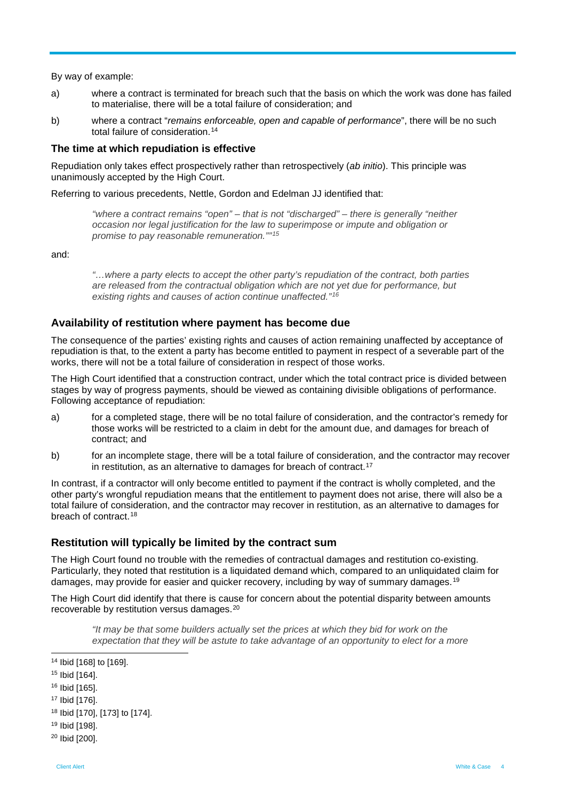By way of example:

- a) where a contract is terminated for breach such that the basis on which the work was done has failed to materialise, there will be a total failure of consideration; and
- b) where a contract "*remains enforceable, open and capable of performance*", there will be no such total failure of consideration.[14](#page-3-0)

#### **The time at which repudiation is effective**

Repudiation only takes effect prospectively rather than retrospectively (*ab initio*). This principle was unanimously accepted by the High Court.

Referring to various precedents, Nettle, Gordon and Edelman JJ identified that:

*"where a contract remains "open" – that is not "discharged" – there is generally "neither occasion nor legal justification for the law to superimpose or impute and obligation or promise to pay reasonable remuneration.""[15](#page-3-1)*

and:

*"…where a party elects to accept the other party's repudiation of the contract, both parties are released from the contractual obligation which are not yet due for performance, but existing rights and causes of action continue unaffected."[16](#page-3-2)*

### **Availability of restitution where payment has become due**

The consequence of the parties' existing rights and causes of action remaining unaffected by acceptance of repudiation is that, to the extent a party has become entitled to payment in respect of a severable part of the works, there will not be a total failure of consideration in respect of those works.

The High Court identified that a construction contract, under which the total contract price is divided between stages by way of progress payments, should be viewed as containing divisible obligations of performance. Following acceptance of repudiation:

- a) for a completed stage, there will be no total failure of consideration, and the contractor's remedy for those works will be restricted to a claim in debt for the amount due, and damages for breach of contract; and
- b) for an incomplete stage, there will be a total failure of consideration, and the contractor may recover in restitution, as an alternative to damages for breach of contract.<sup>[17](#page-3-3)</sup>

In contrast, if a contractor will only become entitled to payment if the contract is wholly completed, and the other party's wrongful repudiation means that the entitlement to payment does not arise, there will also be a total failure of consideration, and the contractor may recover in restitution, as an alternative to damages for breach of contract.[18](#page-3-4)

### **Restitution will typically be limited by the contract sum**

The High Court found no trouble with the remedies of contractual damages and restitution co-existing. Particularly, they noted that restitution is a liquidated demand which, compared to an unliquidated claim for damages, may provide for easier and quicker recovery, including by way of summary damages.[19](#page-3-5)

The High Court did identify that there is cause for concern about the potential disparity between amounts recoverable by restitution versus damages.[20](#page-3-6)

*"It may be that some builders actually set the prices at which they bid for work on the expectation that they will be astute to take advantage of an opportunity to elect for a more* 

<span id="page-3-0"></span> <sup>14</sup> Ibid [168] to [169].

<span id="page-3-1"></span><sup>15</sup> Ibid [164].

<span id="page-3-2"></span><sup>16</sup> Ibid [165].

<span id="page-3-3"></span><sup>17</sup> Ibid [176].

<span id="page-3-4"></span><sup>18</sup> Ibid [170], [173] to [174].

<span id="page-3-5"></span><sup>19</sup> Ibid [198].

<span id="page-3-6"></span><sup>20</sup> Ibid [200].